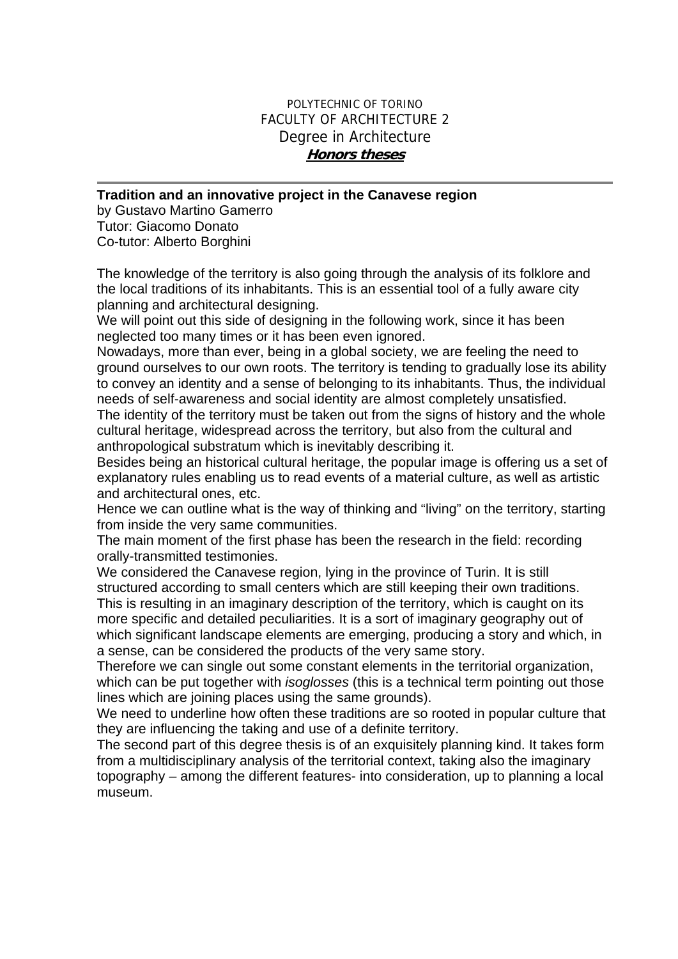## POLYTECHNIC OF TORINO FACULTY OF ARCHITECTURE 2 Degree in Architecture **Honors theses**

## **Tradition and an innovative project in the Canavese region**

by Gustavo Martino Gamerro Tutor: Giacomo Donato Co-tutor: Alberto Borghini

The knowledge of the territory is also going through the analysis of its folklore and the local traditions of its inhabitants. This is an essential tool of a fully aware city planning and architectural designing.

We will point out this side of designing in the following work, since it has been neglected too many times or it has been even ignored.

Nowadays, more than ever, being in a global society, we are feeling the need to ground ourselves to our own roots. The territory is tending to gradually lose its ability to convey an identity and a sense of belonging to its inhabitants. Thus, the individual needs of self-awareness and social identity are almost completely unsatisfied.

The identity of the territory must be taken out from the signs of history and the whole cultural heritage, widespread across the territory, but also from the cultural and anthropological substratum which is inevitably describing it.

Besides being an historical cultural heritage, the popular image is offering us a set of explanatory rules enabling us to read events of a material culture, as well as artistic and architectural ones, etc.

Hence we can outline what is the way of thinking and "living" on the territory, starting from inside the very same communities.

The main moment of the first phase has been the research in the field: recording orally-transmitted testimonies.

We considered the Canavese region, lying in the province of Turin. It is still structured according to small centers which are still keeping their own traditions. This is resulting in an imaginary description of the territory, which is caught on its

more specific and detailed peculiarities. It is a sort of imaginary geography out of which significant landscape elements are emerging, producing a story and which, in a sense, can be considered the products of the very same story.

Therefore we can single out some constant elements in the territorial organization, which can be put together with *isoglosses* (this is a technical term pointing out those lines which are joining places using the same grounds).

We need to underline how often these traditions are so rooted in popular culture that they are influencing the taking and use of a definite territory.

The second part of this degree thesis is of an exquisitely planning kind. It takes form from a multidisciplinary analysis of the territorial context, taking also the imaginary topography – among the different features- into consideration, up to planning a local museum.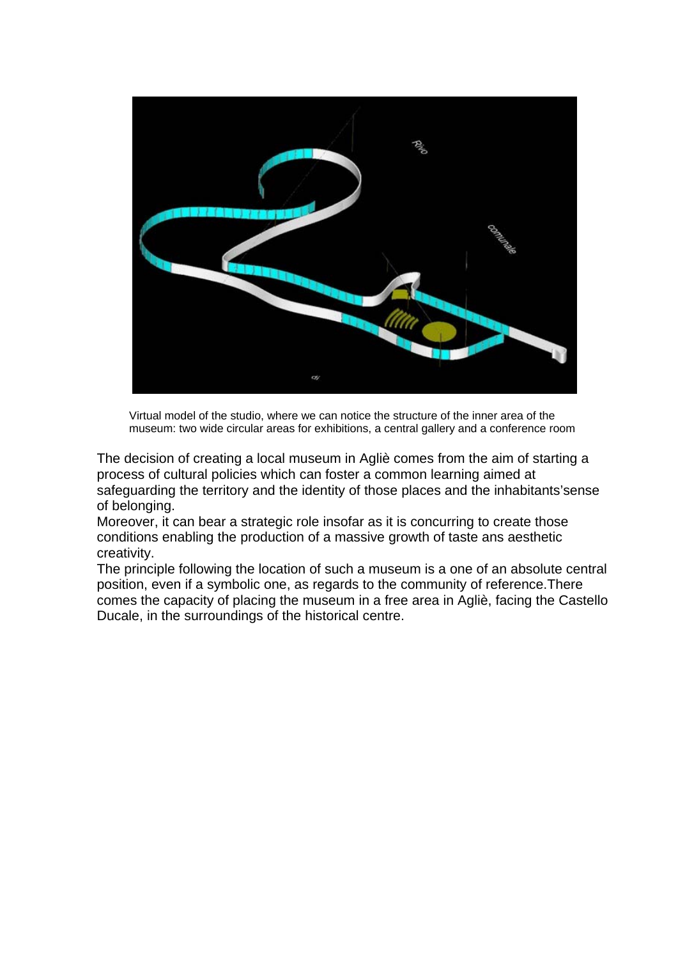

Virtual model of the studio, where we can notice the structure of the inner area of the museum: two wide circular areas for exhibitions, a central gallery and a conference room

The decision of creating a local museum in Agliè comes from the aim of starting a process of cultural policies which can foster a common learning aimed at safeguarding the territory and the identity of those places and the inhabitants'sense of belonging.

Moreover, it can bear a strategic role insofar as it is concurring to create those conditions enabling the production of a massive growth of taste ans aesthetic creativity.

The principle following the location of such a museum is a one of an absolute central position, even if a symbolic one, as regards to the community of reference.There comes the capacity of placing the museum in a free area in Agliè, facing the Castello Ducale, in the surroundings of the historical centre.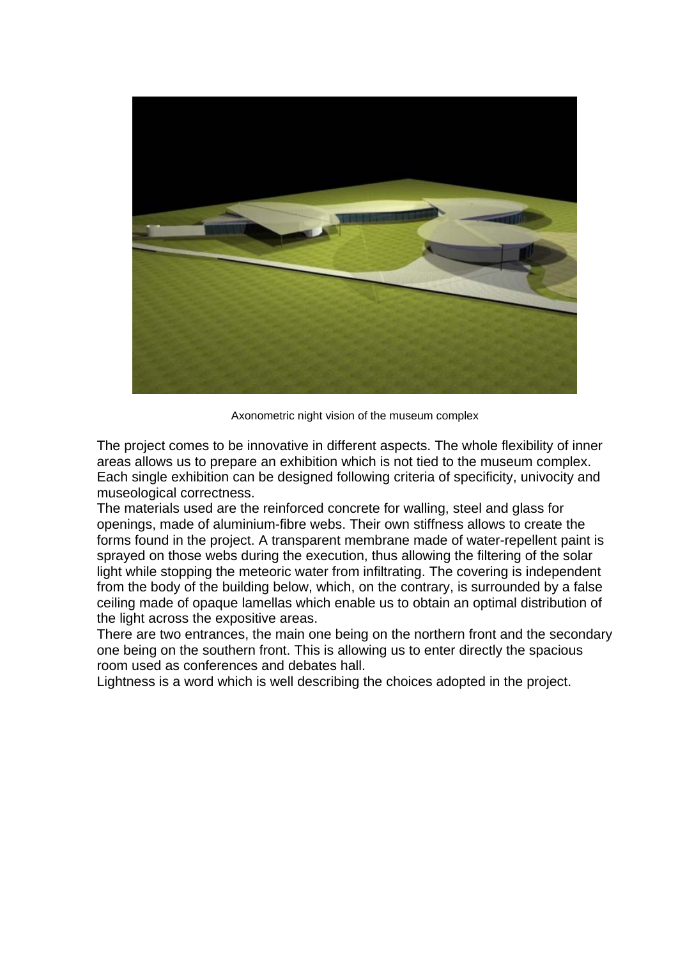

Axonometric night vision of the museum complex

The project comes to be innovative in different aspects. The whole flexibility of inner areas allows us to prepare an exhibition which is not tied to the museum complex. Each single exhibition can be designed following criteria of specificity, univocity and museological correctness.

The materials used are the reinforced concrete for walling, steel and glass for openings, made of aluminium-fibre webs. Their own stiffness allows to create the forms found in the project. A transparent membrane made of water-repellent paint is sprayed on those webs during the execution, thus allowing the filtering of the solar light while stopping the meteoric water from infiltrating. The covering is independent from the body of the building below, which, on the contrary, is surrounded by a false ceiling made of opaque lamellas which enable us to obtain an optimal distribution of the light across the expositive areas.

There are two entrances, the main one being on the northern front and the secondary one being on the southern front. This is allowing us to enter directly the spacious room used as conferences and debates hall.

Lightness is a word which is well describing the choices adopted in the project.